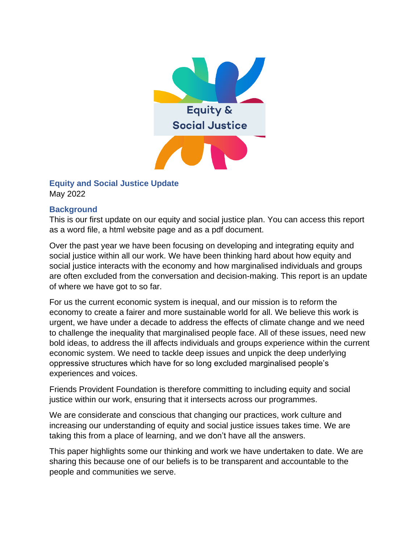

### **Equity and Social Justice Update** May 2022

### **Background**

This is our first update on our equity and social justice plan. You can access this report as a word file, a html website page and as a pdf document.

Over the past year we have been focusing on developing and integrating equity and social justice within all our work. We have been thinking hard about how equity and social justice interacts with the economy and how marginalised individuals and groups are often excluded from the conversation and decision-making. This report is an update of where we have got to so far.

For us the current economic system is inequal, and our mission is to reform the economy to create a fairer and more sustainable world for all. We believe this work is urgent, we have under a decade to address the effects of climate change and we need to challenge the inequality that marginalised people face. All of these issues, need new bold ideas, to address the ill affects individuals and groups experience within the current economic system. We need to tackle deep issues and unpick the deep underlying oppressive structures which have for so long excluded marginalised people's experiences and voices.

Friends Provident Foundation is therefore committing to including equity and social justice within our work, ensuring that it intersects across our programmes.

We are considerate and conscious that changing our practices, work culture and increasing our understanding of equity and social justice issues takes time. We are taking this from a place of learning, and we don't have all the answers.

This paper highlights some our thinking and work we have undertaken to date. We are sharing this because one of our beliefs is to be transparent and accountable to the people and communities we serve.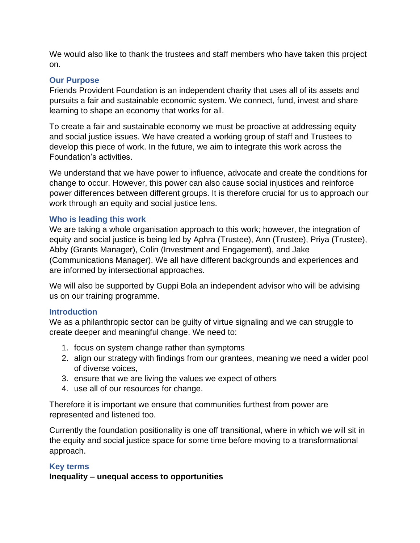We would also like to thank the trustees and staff members who have taken this project on.

### **Our Purpose**

Friends Provident Foundation is an independent charity that uses all of its assets and pursuits a fair and sustainable economic system. We connect, fund, invest and share learning to shape an economy that works for all.

To create a fair and sustainable economy we must be proactive at addressing equity and social justice issues. We have created a working group of staff and Trustees to develop this piece of work. In the future, we aim to integrate this work across the Foundation's activities.

We understand that we have power to influence, advocate and create the conditions for change to occur. However, this power can also cause social injustices and reinforce power differences between different groups. It is therefore crucial for us to approach our work through an equity and social justice lens.

### **Who is leading this work**

We are taking a whole organisation approach to this work; however, the integration of equity and social justice is being led by Aphra (Trustee), Ann (Trustee), Priya (Trustee), Abby (Grants Manager), Colin (Investment and Engagement), and Jake (Communications Manager). We all have different backgrounds and experiences and are informed by intersectional approaches.

We will also be supported by Guppi Bola an independent advisor who will be advising us on our training programme.

### **Introduction**

We as a philanthropic sector can be guilty of virtue signaling and we can struggle to create deeper and meaningful change. We need to:

- 1. focus on system change rather than symptoms
- 2. align our strategy with findings from our grantees, meaning we need a wider pool of diverse voices,
- 3. ensure that we are living the values we expect of others
- 4. use all of our resources for change.

Therefore it is important we ensure that communities furthest from power are represented and listened too.

Currently the foundation positionality is one off transitional, where in which we will sit in the equity and social justice space for some time before moving to a transformational approach.

# **Key terms**

**Inequality – unequal access to opportunities**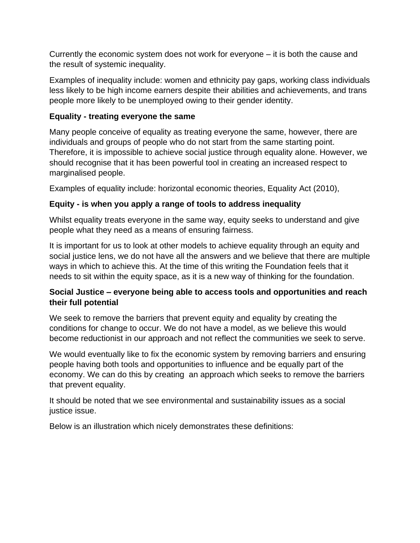Currently the economic system does not work for everyone – it is both the cause and the result of systemic inequality.

Examples of inequality include: women and ethnicity pay gaps, working class individuals less likely to be high income earners despite their abilities and achievements, and trans people more likely to be unemployed owing to their gender identity.

# **Equality - treating everyone the same**

Many people conceive of equality as treating everyone the same, however, there are individuals and groups of people who do not start from the same starting point. Therefore, it is impossible to achieve social justice through equality alone. However, we should recognise that it has been powerful tool in creating an increased respect to marginalised people.

Examples of equality include: horizontal economic theories, Equality Act (2010),

# **Equity - is when you apply a range of tools to address inequality**

Whilst equality treats everyone in the same way, equity seeks to understand and give people what they need as a means of ensuring fairness.

It is important for us to look at other models to achieve equality through an equity and social justice lens, we do not have all the answers and we believe that there are multiple ways in which to achieve this. At the time of this writing the Foundation feels that it needs to sit within the equity space, as it is a new way of thinking for the foundation.

# **Social Justice – everyone being able to access tools and opportunities and reach their full potential**

We seek to remove the barriers that prevent equity and equality by creating the conditions for change to occur. We do not have a model, as we believe this would become reductionist in our approach and not reflect the communities we seek to serve.

We would eventually like to fix the economic system by removing barriers and ensuring people having both tools and opportunities to influence and be equally part of the economy. We can do this by creating an approach which seeks to remove the barriers that prevent equality.

It should be noted that we see environmental and sustainability issues as a social justice issue.

Below is an illustration which nicely demonstrates these definitions: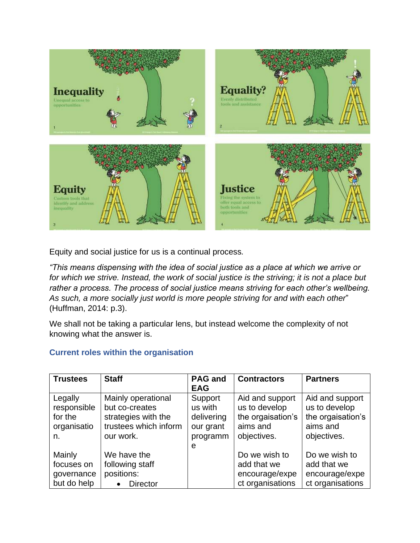

Equity and social justice for us is a continual process*.* 

*"This means dispensing with the idea of social justice as a place at which we arrive or for which we strive. Instead, the work of social justice is the striving; it is not a place but rather a process. The process of social justice means striving for each other's wellbeing. As such, a more socially just world is more people striving for and with each other*" (Huffman, 2014: p.3).

We shall not be taking a particular lens, but instead welcome the complexity of not knowing what the answer is.

# **Current roles within the organisation**

| <b>Trustees</b>                                        | <b>Staff</b>                                                                                      | <b>PAG and</b><br><b>EAG</b>                                   | <b>Contractors</b>                                                               | <b>Partners</b>                                                                  |
|--------------------------------------------------------|---------------------------------------------------------------------------------------------------|----------------------------------------------------------------|----------------------------------------------------------------------------------|----------------------------------------------------------------------------------|
| Legally<br>responsible<br>for the<br>organisatio<br>n. | Mainly operational<br>but co-creates<br>strategies with the<br>trustees which inform<br>our work. | Support<br>us with<br>delivering<br>our grant<br>programm<br>e | Aid and support<br>us to develop<br>the orgaisation's<br>aims and<br>objectives. | Aid and support<br>us to develop<br>the orgaisation's<br>aims and<br>objectives. |
| Mainly<br>focuses on<br>governance<br>but do help      | We have the<br>following staff<br>positions:<br><b>Director</b>                                   |                                                                | Do we wish to<br>add that we<br>encourage/expe<br>ct organisations               | Do we wish to<br>add that we<br>encourage/expe<br>ct organisations               |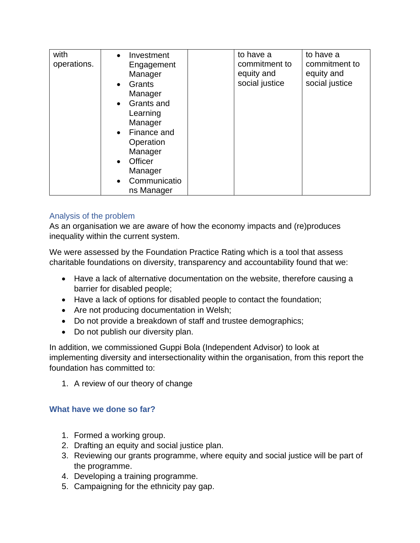| with<br>Investment<br>$\bullet$<br>operations.<br>Engagement<br>Manager<br>Grants<br>$\bullet$<br>Manager<br>Grants and<br>$\bullet$<br>Learning<br>Manager<br>Finance and<br>$\bullet$<br>Operation<br>Manager<br>Officer<br>$\bullet$<br>Manager<br>Communicatio<br>$\bullet$<br>ns Manager | to have a<br>commitment to<br>equity and<br>social justice | to have a<br>commitment to<br>equity and<br>social justice |
|-----------------------------------------------------------------------------------------------------------------------------------------------------------------------------------------------------------------------------------------------------------------------------------------------|------------------------------------------------------------|------------------------------------------------------------|
|-----------------------------------------------------------------------------------------------------------------------------------------------------------------------------------------------------------------------------------------------------------------------------------------------|------------------------------------------------------------|------------------------------------------------------------|

### Analysis of the problem

As an organisation we are aware of how the economy impacts and (re)produces inequality within the current system.

We were assessed by the Foundation Practice Rating which is a tool that assess charitable foundations on diversity, transparency and accountability found that we:

- Have a lack of alternative documentation on the website, therefore causing a barrier for disabled people;
- Have a lack of options for disabled people to contact the foundation;
- Are not producing documentation in Welsh;
- Do not provide a breakdown of staff and trustee demographics;
- Do not publish our diversity plan.

In addition, we commissioned Guppi Bola (Independent Advisor) to look at implementing diversity and intersectionality within the organisation, from this report the foundation has committed to:

1. A review of our theory of change

# **What have we done so far?**

- 1. Formed a working group.
- 2. Drafting an equity and social justice plan.
- 3. Reviewing our grants programme, where equity and social justice will be part of the programme.
- 4. Developing a training programme.
- 5. Campaigning for the ethnicity pay gap.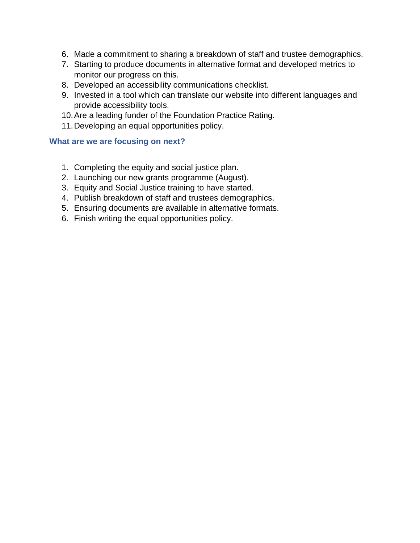- 6. Made a commitment to sharing a breakdown of staff and trustee demographics.
- 7. Starting to produce documents in alternative format and developed metrics to monitor our progress on this.
- 8. Developed an accessibility communications checklist.
- 9. Invested in a tool which can translate our website into different languages and provide accessibility tools.
- 10.Are a leading funder of the Foundation Practice Rating.
- 11.Developing an equal opportunities policy.

### **What are we are focusing on next?**

- 1. Completing the equity and social justice plan.
- 2. Launching our new grants programme (August).
- 3. Equity and Social Justice training to have started.
- 4. Publish breakdown of staff and trustees demographics.
- 5. Ensuring documents are available in alternative formats.
- 6. Finish writing the equal opportunities policy.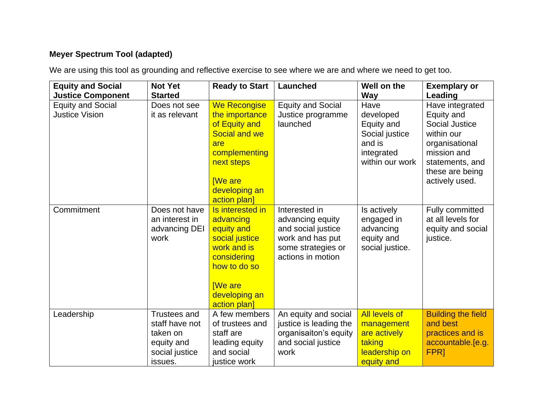# **Meyer Spectrum Tool (adapted)**

We are using this tool as grounding and reflective exercise to see where we are and where we need to get too.

| <b>Equity and Social</b>                          | <b>Not Yet</b>                                                                               | <b>Ready to Start</b>                                                                                                                                            | Launched                                                                                                               | Well on the                                                                                  | <b>Exemplary or</b>                                                                                                                                    |
|---------------------------------------------------|----------------------------------------------------------------------------------------------|------------------------------------------------------------------------------------------------------------------------------------------------------------------|------------------------------------------------------------------------------------------------------------------------|----------------------------------------------------------------------------------------------|--------------------------------------------------------------------------------------------------------------------------------------------------------|
| <b>Justice Component</b>                          | <b>Started</b>                                                                               |                                                                                                                                                                  |                                                                                                                        | <b>Way</b>                                                                                   | Leading                                                                                                                                                |
| <b>Equity and Social</b><br><b>Justice Vision</b> | Does not see<br>it as relevant                                                               | <b>We Recongise</b><br>the importance<br>of Equity and<br>Social and we<br>are<br>complementing<br>next steps<br><b>IWe are</b><br>developing an<br>action plan] | <b>Equity and Social</b><br>Justice programme<br>launched                                                              | Have<br>developed<br>Equity and<br>Social justice<br>and is<br>integrated<br>within our work | Have integrated<br>Equity and<br>Social Justice<br>within our<br>organisational<br>mission and<br>statements, and<br>these are being<br>actively used. |
| Commitment                                        | Does not have<br>an interest in<br>advancing DEI<br>work                                     | Is interested in<br>advancing<br>equity and<br>social justice<br>work and is<br>considering<br>how to do so<br><b>We are</b><br>developing an<br>action plan]    | Interested in<br>advancing equity<br>and social justice<br>work and has put<br>some strategies or<br>actions in motion | Is actively<br>engaged in<br>advancing<br>equity and<br>social justice.                      | Fully committed<br>at all levels for<br>equity and social<br>justice.                                                                                  |
| Leadership                                        | <b>Trustees and</b><br>staff have not<br>taken on<br>equity and<br>social justice<br>issues. | A few members<br>of trustees and<br>staff are<br>leading equity<br>and social<br>justice work                                                                    | An equity and social<br>justice is leading the<br>organisaiton's equity<br>and social justice<br>work                  | <b>All levels of</b><br>management<br>are actively<br>taking<br>leadership on<br>equity and  | <b>Building the field</b><br>and best<br>practices and is<br>accountable.[e.g.<br><b>FPRI</b>                                                          |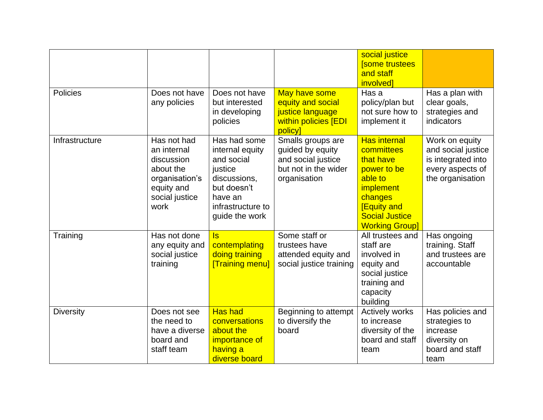|                  |                                                                                                                 |                                                                                                                                           |                                                                                                     | social justice<br><b>Some trustees</b><br>and staff<br><i>involved]</i>                                                                                                         |                                                                                                    |
|------------------|-----------------------------------------------------------------------------------------------------------------|-------------------------------------------------------------------------------------------------------------------------------------------|-----------------------------------------------------------------------------------------------------|---------------------------------------------------------------------------------------------------------------------------------------------------------------------------------|----------------------------------------------------------------------------------------------------|
| <b>Policies</b>  | Does not have<br>any policies                                                                                   | Does not have<br>but interested<br>in developing<br>policies                                                                              | May have some<br>equity and social<br>justice language<br>within policies [EDI<br>policy            | Has a<br>policy/plan but<br>not sure how to<br>implement it                                                                                                                     | Has a plan with<br>clear goals,<br>strategies and<br>indicators                                    |
| Infrastructure   | Has not had<br>an internal<br>discussion<br>about the<br>organisation's<br>equity and<br>social justice<br>work | Has had some<br>internal equity<br>and social<br>justice<br>discussions,<br>but doesn't<br>have an<br>infrastructure to<br>guide the work | Smalls groups are<br>guided by equity<br>and social justice<br>but not in the wider<br>organisation | <b>Has internal</b><br>committees<br>that have<br>power to be<br>able to<br><i>implement</i><br>changes<br><b>[Equity and</b><br><b>Social Justice</b><br><b>Working Group]</b> | Work on equity<br>and social justice<br>is integrated into<br>every aspects of<br>the organisation |
| Training         | Has not done<br>any equity and<br>social justice<br>training                                                    | $\overline{\mathsf{s}}$<br>contemplating<br>doing training<br><b>Training menul</b>                                                       | Some staff or<br>trustees have<br>attended equity and<br>social justice training                    | All trustees and<br>staff are<br>involved in<br>equity and<br>social justice<br>training and<br>capacity<br>building                                                            | Has ongoing<br>training. Staff<br>and trustees are<br>accountable                                  |
| <b>Diversity</b> | Does not see<br>the need to<br>have a diverse<br>board and<br>staff team                                        | <b>Has had</b><br>conversations<br>about the<br>importance of<br>having a<br>diverse board                                                | Beginning to attempt<br>to diversify the<br>board                                                   | <b>Actively works</b><br>to increase<br>diversity of the<br>board and staff<br>team                                                                                             | Has policies and<br>strategies to<br>increase<br>diversity on<br>board and staff<br>team           |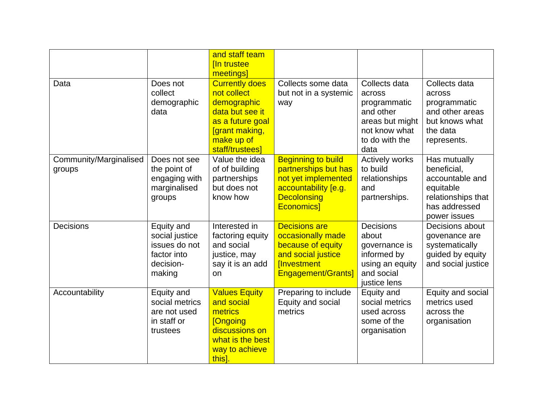|                                  |                                                                                     | and staff team                                                                                                                                |                                                                                                                                            |                                                                                                                    |                                                                                                                    |
|----------------------------------|-------------------------------------------------------------------------------------|-----------------------------------------------------------------------------------------------------------------------------------------------|--------------------------------------------------------------------------------------------------------------------------------------------|--------------------------------------------------------------------------------------------------------------------|--------------------------------------------------------------------------------------------------------------------|
|                                  |                                                                                     | [In trustee<br>meetings]                                                                                                                      |                                                                                                                                            |                                                                                                                    |                                                                                                                    |
| Data                             | Does not<br>collect<br>demographic<br>data                                          | <b>Currently does</b><br>not collect<br>demographic<br>data but see it<br>as a future goal<br>[grant making,<br>make up of<br>staff/trustees] | Collects some data<br>but not in a systemic<br>way                                                                                         | Collects data<br>across<br>programmatic<br>and other<br>areas but might<br>not know what<br>to do with the<br>data | Collects data<br>across<br>programmatic<br>and other areas<br>but knows what<br>the data<br>represents.            |
| Community/Marginalised<br>groups | Does not see<br>the point of<br>engaging with<br>marginalised<br>groups             | Value the idea<br>of of building<br>partnerships<br>but does not<br>know how                                                                  | <b>Beginning to build</b><br>partnerships but has<br>not yet implemented<br>accountability [e.g.<br><b>Decolonsing</b><br><b>Economics</b> | <b>Actively works</b><br>to build<br>relationships<br>and<br>partnerships.                                         | Has mutually<br>beneficial,<br>accountable and<br>equitable<br>relationships that<br>has addressed<br>power issues |
| Decisions                        | Equity and<br>social justice<br>issues do not<br>factor into<br>decision-<br>making | Interested in<br>factoring equity<br>and social<br>justice, may<br>say it is an add<br>on                                                     | <b>Decisions are</b><br>occasionally made<br>because of equity<br>and social justice<br>[Investment<br>Engagement/Grants]                  | <b>Decisions</b><br>about<br>governance is<br>informed by<br>using an equity<br>and social<br>justice lens         | Decisions about<br>govenance are<br>systematically<br>guided by equity<br>and social justice                       |
| Accountability                   | Equity and<br>social metrics<br>are not used<br>in staff or<br>trustees             | <b>Values Equity</b><br>and social<br>metrics<br><b>[Ongoing</b><br>discussions on<br>what is the best<br>way to achieve<br>this].            | Preparing to include<br>Equity and social<br>metrics                                                                                       | Equity and<br>social metrics<br>used across<br>some of the<br>organisation                                         | Equity and social<br>metrics used<br>across the<br>organisation                                                    |